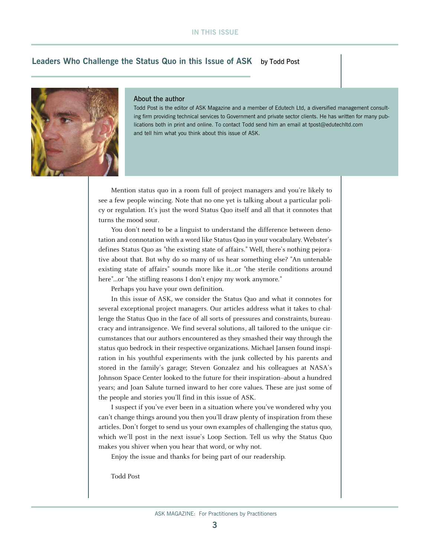# **Leaders Who Challenge the Status Quo in this Issue of ASK** by Todd Post



#### About the author

Todd Post is the editor of ASK Magazine and a member of Edutech Ltd, a diversified management consulting firm providing technical services to Government and private sector clients. He has written for many publications both in print and online. To contact Todd send him an email at tpost@edutechltd.com and tell him what you think about this issue of ASK.

Mention status quo in a room full of project managers and you're likely to see a few people wincing. Note that no one yet is talking about a particular policy or regulation. It's just the word Status Quo itself and all that it connotes that turns the mood sour.

You don't need to be a linguist to understand the difference between denotation and connotation with a word like Status Quo in your vocabulary. Webster's defines Status Quo as "the existing state of affairs." Well, there's nothing pejorative about that. But why do so many of us hear something else? "An untenable existing state of affairs" sounds more like it...or "the sterile conditions around here"...or "the stifling reasons I don't enjoy my work anymore."

Perhaps you have your own definition.

In this issue of ASK, we consider the Status Quo and what it connotes for several exceptional project managers. Our articles address what it takes to challenge the Status Quo in the face of all sorts of pressures and constraints, bureaucracy and intransigence. We find several solutions, all tailored to the unique circumstances that our authors encountered as they smashed their way through the status quo bedrock in their respective organizations. Michael Jansen found inspiration in his youthful experiments with the junk collected by his parents and stored in the family's garage; Steven Gonzalez and his colleagues at NASA's Johnson Space Center looked to the future for their inspiration--about a hundred years; and Joan Salute turned inward to her core values. These are just some of the people and stories you'll find in this issue of ASK.

I suspect if you've ever been in a situation where you've wondered why you can't change things around you then you'll draw plenty of inspiration from these articles. Don't forget to send us your own examples of challenging the status quo, which we'll post in the next issue's Loop Section. Tell us why the Status Quo makes you shiver when you hear that word, or why not.

Enjoy the issue and thanks for being part of our readership.

Todd Post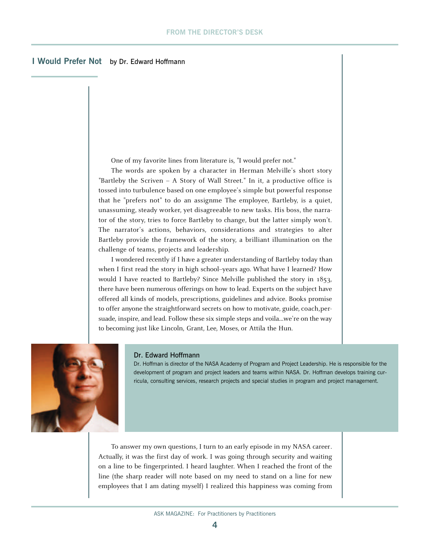## **I Would Prefer Not** by Dr. Edward Hoffmann

One of my favorite lines from literature is, "I would prefer not."

The words are spoken by a character in Herman Melville's short story "Bartleby the Scriven – A Story of Wall Street." In it, a productive office is tossed into turbulence based on one employee's simple but powerful response that he "prefers not" to do an assignme The employee, Bartleby, is a quiet, unassuming, steady worker, yet disagreeable to new tasks. His boss, the narrator of the story, tries to force Bartleby to change, but the latter simply won't. The narrator's actions, behaviors, considerations and strategies to alter Bartleby provide the framework of the story, a brilliant illumination on the challenge of teams, projects and leadership.

I wondered recently if I have a greater understanding of Bartleby today than when I first read the story in high school-years ago. What have I learned? How would I have reacted to Bartleby? Since Melville published the story in 1853, there have been numerous offerings on how to lead. Experts on the subject have offered all kinds of models, prescriptions, guidelines and advice. Books promise to offer anyone the straightforward secrets on how to motivate, guide, coach,persuade, inspire, and lead. Follow these six simple steps and voila...we're on the way to becoming just like Lincoln, Grant, Lee, Moses, or Attila the Hun.



#### Dr. Edward Hoffmann

Dr. Hoffman is director of the NASA Academy of Program and Project Leadership. He is responsible for the development of program and project leaders and teams within NASA. Dr. Hoffman develops training curricula, consulting services, research projects and special studies in program and project management.

To answer my own questions, I turn to an early episode in my NASA career. Actually, it was the first day of work. I was going through security and waiting on a line to be fingerprinted. I heard laughter. When I reached the front of the line (the sharp reader will note based on my need to stand on a line for new employees that I am dating myself) I realized this happiness was coming from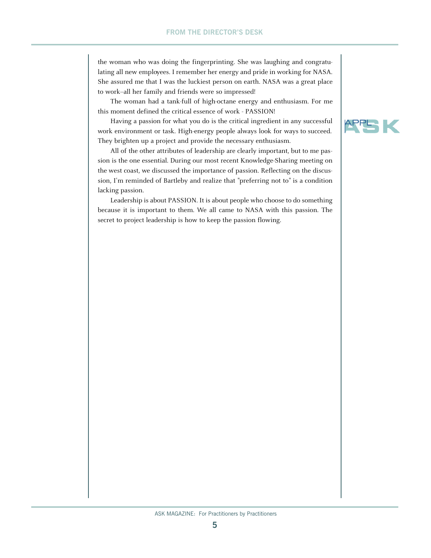the woman who was doing the fingerprinting. She was laughing and congratulating all new employees. I remember her energy and pride in working for NASA. She assured me that I was the luckiest person on earth. NASA was a great place to work--all her family and friends were so impressed!

The woman had a tank-full of high-octane energy and enthusiasm. For me this moment defined the critical essence of work - PASSION!

Having a passion for what you do is the critical ingredient in any successful work environment or task. High-energy people always look for ways to succeed. They brighten up a project and provide the necessary enthusiasm.

All of the other attributes of leadership are clearly important, but to me passion is the one essential. During our most recent Knowledge-Sharing meeting on the west coast, we discussed the importance of passion. Reflecting on the discussion, I'm reminded of Bartleby and realize that "preferring not to" is a condition lacking passion.

Leadership is about PASSION. It is about people who choose to do something because it is important to them. We all came to NASA with this passion. The secret to project leadership is how to keep the passion flowing.

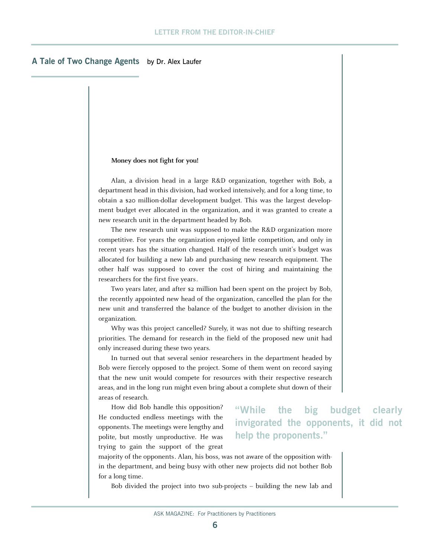### **A Tale of Two Change Agents** by Dr. Alex Laufer

#### **Money does not fight for you!**

Alan, a division head in a large R&D organization, together with Bob, a department head in this division, had worked intensively, and for a long time, to obtain a \$20 million-dollar development budget. This was the largest development budget ever allocated in the organization, and it was granted to create a new research unit in the department headed by Bob.

The new research unit was supposed to make the R&D organization more competitive. For years the organization enjoyed little competition, and only in recent years has the situation changed. Half of the research unit's budget was allocated for building a new lab and purchasing new research equipment. The other half was supposed to cover the cost of hiring and maintaining the researchers for the first five years.

Two years later, and after \$2 million had been spent on the project by Bob, the recently appointed new head of the organization, cancelled the plan for the new unit and transferred the balance of the budget to another division in the organization.

Why was this project cancelled? Surely, it was not due to shifting research priorities. The demand for research in the field of the proposed new unit had only increased during these two years.

In turned out that several senior researchers in the department headed by Bob were fiercely opposed to the project. Some of them went on record saying that the new unit would compete for resources with their respective research areas, and in the long run might even bring about a complete shut down of their areas of research.

How did Bob handle this opposition? He conducted endless meetings with the opponents. The meetings were lengthy and polite, but mostly unproductive. He was trying to gain the support of the great

**"While the big budget clearly invigorated the opponents, it did not help the proponents."**

majority of the opponents. Alan, his boss, was not aware of the opposition within the department, and being busy with other new projects did not bother Bob for a long time.

Bob divided the project into two sub-projects -- building the new lab and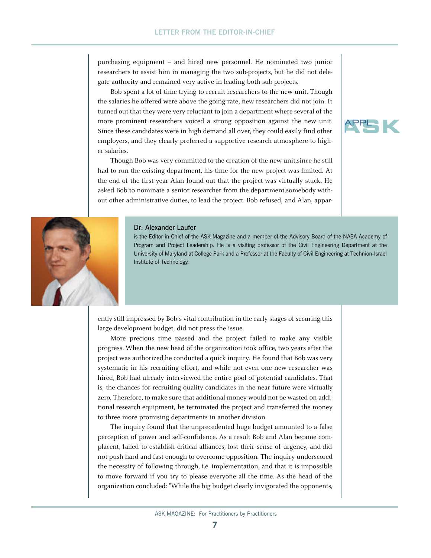purchasing equipment -- and hired new personnel. He nominated two junior researchers to assist him in managing the two sub-projects, but he did not delegate authority and remained very active in leading both sub-projects.

Bob spent a lot of time trying to recruit researchers to the new unit. Though the salaries he offered were above the going rate, new researchers did not join. It turned out that they were very reluctant to join a department where several of the more prominent researchers voiced a strong opposition against the new unit. Since these candidates were in high demand all over, they could easily find other employers, and they clearly preferred a supportive research atmosphere to higher salaries.

Though Bob was very committed to the creation of the new unit,since he still had to run the existing department, his time for the new project was limited. At the end of the first year Alan found out that the project was virtually stuck. He asked Bob to nominate a senior researcher from the department,somebody without other administrative duties, to lead the project. Bob refused, and Alan, appar-



#### Dr. Alexander Laufer

is the Editor-in-Chief of the ASK Magazine and a member of the Advisory Board of the NASA Academy of Program and Project Leadership. He is a visiting professor of the Civil Engineering Department at the University of Maryland at College Park and a Professor at the Faculty of Civil Engineering at Technion-Israel Institute of Technology.

ently still impressed by Bob's vital contribution in the early stages of securing this large development budget, did not press the issue.

More precious time passed and the project failed to make any visible progress. When the new head of the organization took office, two years after the project was authorized,he conducted a quick inquiry. He found that Bob was very systematic in his recruiting effort, and while not even one new researcher was hired, Bob had already interviewed the entire pool of potential candidates. That is, the chances for recruiting quality candidates in the near future were virtually zero. Therefore, to make sure that additional money would not be wasted on additional research equipment, he terminated the project and transferred the money to three more promising departments in another division.

The inquiry found that the unprecedented huge budget amounted to a false perception of power and self-confidence. As a result Bob and Alan became complacent, failed to establish critical alliances, lost their sense of urgency, and did not push hard and fast enough to overcome opposition. The inquiry underscored the necessity of following through, i.e. implementation, and that it is impossible to move forward if you try to please everyone all the time. As the head of the organization concluded: "While the big budget clearly invigorated the opponents,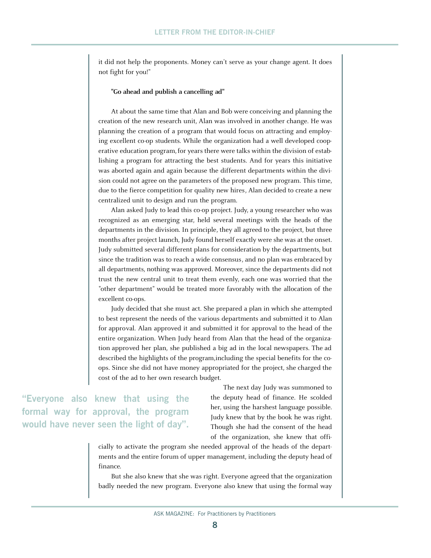it did not help the proponents. Money can't serve as your change agent. It does not fight for you!"

#### **"Go ahead and publish a cancelling ad"**

At about the same time that Alan and Bob were conceiving and planning the creation of the new research unit, Alan was involved in another change. He was planning the creation of a program that would focus on attracting and employing excellent co-op students. While the organization had a well developed cooperative education program, for years there were talks within the division of establishing a program for attracting the best students. And for years this initiative was aborted again and again because the different departments within the division could not agree on the parameters of the proposed new program. This time, due to the fierce competition for quality new hires, Alan decided to create a new centralized unit to design and run the program.

Alan asked Judy to lead this co-op project. Judy, a young researcher who was recognized as an emerging star, held several meetings with the heads of the departments in the division. In principle, they all agreed to the project, but three months after project launch, Judy found herself exactly were she was at the onset. Judy submitted several different plans for consideration by the departments, but since the tradition was to reach a wide consensus, and no plan was embraced by all departments, nothing was approved. Moreover, since the departments did not trust the new central unit to treat them evenly, each one was worried that the "other department" would be treated more favorably with the allocation of the excellent co-ops.

Judy decided that she must act. She prepared a plan in which she attempted to best represent the needs of the various departments and submitted it to Alan for approval. Alan approved it and submitted it for approval to the head of the entire organization. When Judy heard from Alan that the head of the organization approved her plan, she published a big ad in the local newspapers. The ad described the highlights of the program,including the special benefits for the coops. Since she did not have money appropriated for the project, she charged the cost of the ad to her own research budget.

"Everyone also knew that using the **formal way for approval, the program would have never seen the light of day".**

The next day Judy was summoned to the deputy head of finance. He scolded her, using the harshest language possible. Judy knew that by the book he was right. Though she had the consent of the head of the organization, she knew that offi-

cially to activate the program she needed approval of the heads of the departments and the entire forum of upper management, including the deputy head of finance.

But she also knew that she was right. Everyone agreed that the organization badly needed the new program. Everyone also knew that using the formal way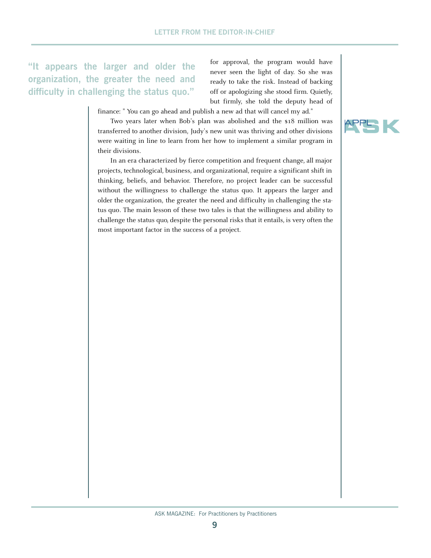**"It appears the larger and older the organization, the greater the need and difficulty in challenging the status quo."**

for approval, the program would have never seen the light of day. So she was ready to take the risk. Instead of backing off or apologizing she stood firm. Quietly, but firmly, she told the deputy head of

finance: " You can go ahead and publish a new ad that will cancel my ad."

Two years later when Bob's plan was abolished and the \$18 million was transferred to another division, Judy's new unit was thriving and other divisions were waiting in line to learn from her how to implement a similar program in their divisions.

In an era characterized by fierce competition and frequent change, all major projects, technological, business, and organizational, require a significant shift in thinking, beliefs, and behavior. Therefore, no project leader can be successful without the willingness to challenge the status quo. It appears the larger and older the organization, the greater the need and difficulty in challenging the status quo. The main lesson of these two tales is that the willingness and ability to challenge the status quo, despite the personal risks that it entails, is very often the most important factor in the success of a project.

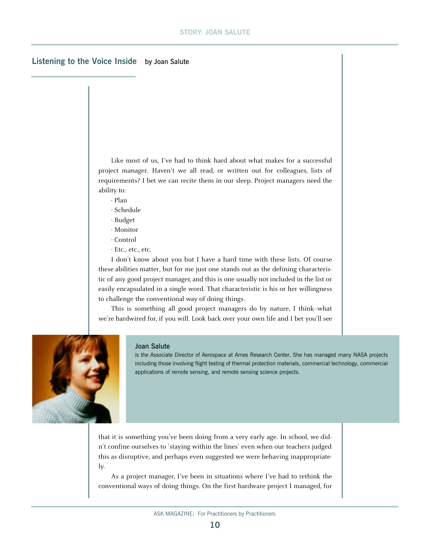## **Listening to the Voice Inside** by Joan Salute

Like most of us, I've had to think hard about what makes for a successful project manager. Haven't we all read, or written out for colleagues, lists of requirements? I bet we can recite them in our sleep. Project managers need the ability to:

- · Plan
- · Schedule
- · Budget
- · Monitor · Control
- · Etc., etc., etc.

I don't know about you but I have a hard time with these lists. Of course these abilities matter, but for me just one stands out as the defining characteristic of any good project manager, and this is one usually not included in the list or easily encapsulated in a single word. That characteristic is his or her willingness to challenge the conventional way of doing things.

This is something all good project managers do by nature, I think--what we're hardwired for, if you will. Look back over your own life and I bet you'll see



#### Joan Salute

is the Associate Director of Aerospace at Ames Research Center. She has managed many NASA projects including those involving flight testing of thermal protection materials, commercial technology, commercial applications of remote sensing, and remote sensing science projects.

that it is something you've been doing from a very early age. In school, we didn't confine ourselves to 'staying within the lines' even when our teachers judged this as disruptive, and perhaps even suggested we were behaving inappropriately.

As a project manager, I've been in situations where I've had to rethink the conventional ways of doing things. On the first hardware project I managed, for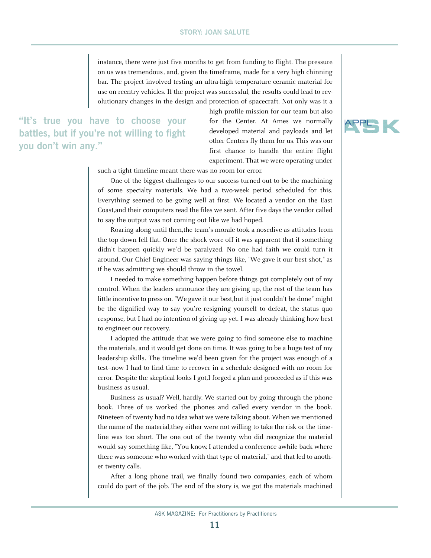instance, there were just five months to get from funding to flight. The pressure on us was tremendous, and, given the timeframe, made for a very high chinning bar. The project involved testing an ultra-high temperature ceramic material for use on reentry vehicles. If the project was successful, the results could lead to revolutionary changes in the design and protection of spacecraft. Not only was it a

**"It's true you have to choose your battles, but if you're not willing to fight you don't win any."**

high profile mission for our team but also for the Center. At Ames we normally developed material and payloads and let other Centers fly them for us. This was our first chance to handle the entire flight experiment. That we were operating under

such a tight timeline meant there was no room for error.

One of the biggest challenges to our success turned out to be the machining of some specialty materials. We had a two-week period scheduled for this. Everything seemed to be going well at first. We located a vendor on the East Coast,and their computers read the files we sent. After five days the vendor called to say the output was not coming out like we had hoped.

Roaring along until then,the team's morale took a nosedive as attitudes from the top down fell flat. Once the shock wore off it was apparent that if something didn't happen quickly we'd be paralyzed. No one had faith we could turn it around. Our Chief Engineer was saying things like, "We gave it our best shot," as if he was admitting we should throw in the towel.

I needed to make something happen before things got completely out of my control. When the leaders announce they are giving up, the rest of the team has little incentive to press on. "We gave it our best,but it just couldn't be done" might be the dignified way to say you're resigning yourself to defeat, the status quo response, but I had no intention of giving up yet. I was already thinking how best to engineer our recovery.

I adopted the attitude that we were going to find someone else to machine the materials, and it would get done on time. It was going to be a huge test of my leadership skills. The timeline we'd been given for the project was enough of a test--now I had to find time to recover in a schedule designed with no room for error. Despite the skeptical looks I got,I forged a plan and proceeded as if this was business as usual.

Business as usual? Well, hardly. We started out by going through the phone book. Three of us worked the phones and called every vendor in the book. Nineteen of twenty had no idea what we were talking about. When we mentioned the name of the material,they either were not willing to take the risk or the timeline was too short. The one out of the twenty who did recognize the material would say something like, "You know, I attended a conference awhile back where there was someone who worked with that type of material," and that led to another twenty calls.

After a long phone trail, we finally found two companies, each of whom could do part of the job. The end of the story is, we got the materials machined

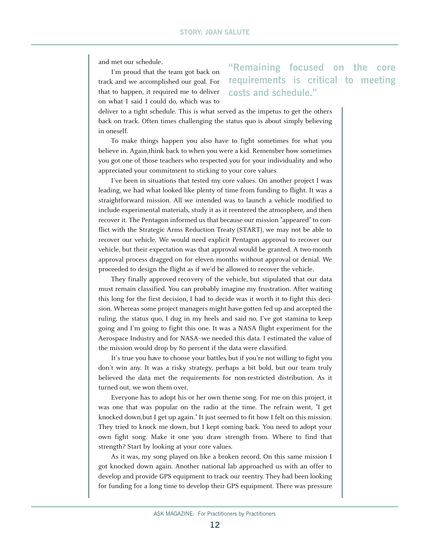and met our schedule.

I'm proud that the team got back on track and we accomplished our goal. For that to happen, it required me to deliver on what I said I could do, which was to

# **" Remaining focused on the core requirements is critical to meeting costs and schedule."**

deliver to a tight schedule. This is what served as the impetus to get the others back on track. Often times challenging the status quo is about simply believing in oneself.

To make things happen you also have to fight sometimes for what you believe in. Again,think back to when you were a kid. Remember how sometimes you got one of those teachers who respected you for your individuality and who appreciated your commitment to sticking to your core values.

I've been in situations that tested my core values. On another project I was leading, we had what looked like plenty of time from funding to flight. It was a straightforward mission. All we intended was to launch a vehicle modified to include experimental materials, study it as it reentered the atmosphere, and then recover it. The Pentagon informed us that because our mission "appeared" to conflict with the Strategic Arms Reduction Treaty (START), we may not be able to recover our vehicle. We would need explicit Pentagon approval to recover our vehicle, but their expectation was that approval would be granted. A two-month approval process dragged on for eleven months without approval or denial. We proceeded to design the flight as if we'd be allowed to recover the vehicle.

They finally approved recovery of the vehicle, but stipulated that our data must remain classified. You can probably imagine my frustration. After waiting this long for the first decision, I had to decide was it worth it to fight this decision. Whereas some project managers might have gotten fed up and accepted the ruling, the status quo, I dug in my heels and said no, I've got stamina to keep going and I'm going to fight this one. It was a NASA flight experiment for the Aerospace Industry and for NASA--we needed this data. I estimated the value of the mission would drop by 80 percent if the data were classified.

It's true you have to choose your battles, but if you're not willing to fight you don't win any. It was a risky strategy, perhaps a bit bold, but our team truly believed the data met the requirements for non-restricted distribution. As it turned out, we won them over.

Everyone has to adopt his or her own theme song. For me on this project, it was one that was popular on the radio at the time. The refrain went, "I get knocked down,but I get up again." It just seemed to fit how I felt on this mission. They tried to knock me down, but I kept coming back. You need to adopt your own fight song. Make it one you draw strength from. Where to find that strength? Start by looking at your core values.

As it was, my song played on like a broken record. On this same mission I got knocked down again. Another national lab approached us with an offer to develop and provide GPS equipment to track our reentry. They had been looking for funding for a long time to develop their GPS equipment. There was pressure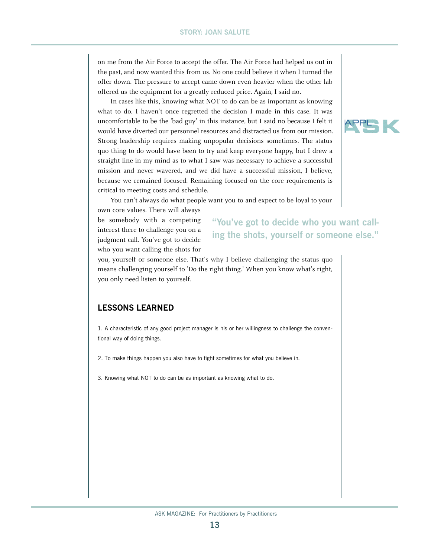on me from the Air Force to accept the offer. The Air Force had helped us out in the past, and now wanted this from us. No one could believe it when I turned the offer down. The pressure to accept came down even heavier when the other lab offered us the equipment for a greatly reduced price. Again, I said no.

In cases like this, knowing what NOT to do can be as important as knowing what to do. I haven't once regretted the decision I made in this case. It was uncomfortable to be the 'bad guy' in this instance, but I said no because I felt it would have diverted our personnel resources and distracted us from our mission. Strong leadership requires making unpopular decisions sometimes. The status quo thing to do would have been to try and keep everyone happy, but I drew a straight line in my mind as to what I saw was necessary to achieve a successful mission and never wavered, and we did have a successful mission, I believe, because we remained focused. Remaining focused on the core requirements is critical to meeting costs and schedule.

You can't always do what people want you to and expect to be loyal to your

own core values. There will always be somebody with a competing interest there to challenge you on a judgment call. You've got to decide who you want calling the shots for

# **"You've got to decide who you want calling the shots, yourself or someone else."**

you, yourself or someone else. That's why I believe challenging the status quo means challenging yourself to 'Do the right thing.' When you know what's right, you only need listen to yourself.

# **LESSONS LEARNED**

1. A characteristic of any good project manager is his or her willingness to challenge the conventional way of doing things.

2. To make things happen you also have to fight sometimes for what you believe in.

3. Knowing what NOT to do can be as important as knowing what to do.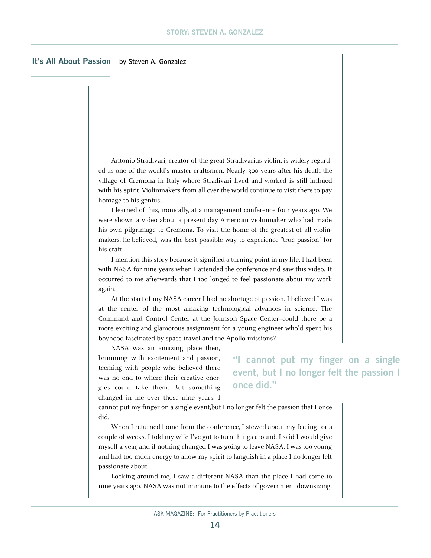# **It's All About Passion** by Steven A. Gonzalez

Antonio Stradivari, creator of the great Stradivarius violin, is widely regarded as one of the world's master craftsmen. Nearly 300 years after his death the village of Cremona in Italy where Stradivari lived and worked is still imbued with his spirit. Violinmakers from all over the world continue to visit there to pay homage to his genius.

I learned of this, ironically, at a management conference four years ago. We were shown a video about a present day American violinmaker who had made his own pilgrimage to Cremona. To visit the home of the greatest of all violinmakers, he believed, was the best possible way to experience "true passion" for his craft.

I mention this story because it signified a turning point in my life. I had been with NASA for nine years when I attended the conference and saw this video. It occurred to me afterwards that I too longed to feel passionate about my work again.

At the start of my NASA career I had no shortage of passion. I believed I was at the center of the most amazing technological advances in science. The Command and Control Center at the Johnson Space Center--could there be a more exciting and glamorous assignment for a young engineer who'd spent his boyhood fascinated by space travel and the Apollo missions?

NASA was an amazing place then, brimming with excitement and passion, teeming with people who believed there was no end to where their creative energies could take them. But something changed in me over those nine years. I

**"I cannot put my finger on a single event, but I no longer felt the passion I once did."**

cannot put my finger on a single event,but I no longer felt the passion that I once did.

When I returned home from the conference, I stewed about my feeling for a couple of weeks. I told my wife I've got to turn things around. I said I would give myself a year, and if nothing changed I was going to leave NASA. I was too young and had too much energy to allow my spirit to languish in a place I no longer felt passionate about.

Looking around me, I saw a different NASA than the place I had come to nine years ago. NASA was not immune to the effects of government downsizing,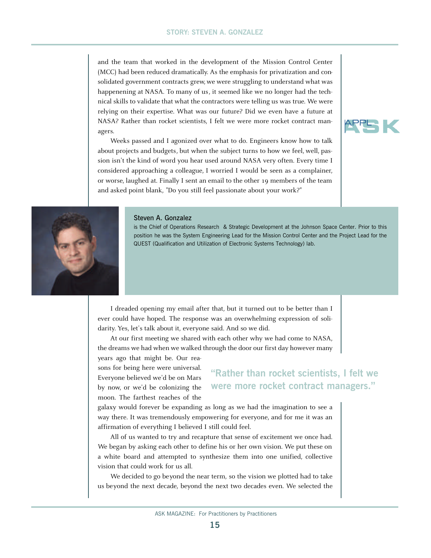and the team that worked in the development of the Mission Control Center (MCC) had been reduced dramatically. As the emphasis for privatization and consolidated government contracts grew, we were struggling to understand what was happenening at NASA. To many of us, it seemed like we no longer had the technical skills to validate that what the contractors were telling us was true. We were relying on their expertise. What was our future? Did we even have a future at NASA? Rather than rocket scientists, I felt we were more rocket contract managers.

Weeks passed and I agonized over what to do. Engineers know how to talk about projects and budgets, but when the subject turns to how we feel, well, passion isn't the kind of word you hear used around NASA very often. Every time I considered approaching a colleague, I worried I would be seen as a complainer, or worse, laughed at. Finally I sent an email to the other 19 members of the team and asked point blank, "Do you still feel passionate about your work?"





#### Steven A. Gonzalez

is the Chief of Operations Research & Strategic Development at the Johnson Space Center. Prior to this position he was the System Engineering Lead for the Mission Control Center and the Project Lead for the QUEST (Qualification and Utilization of Electronic Systems Technology) lab.

I dreaded opening my email after that, but it turned out to be better than I ever could have hoped. The response was an overwhelming expression of solidarity. Yes, let's talk about it, everyone said. And so we did.

At our first meeting we shared with each other why we had come to NASA, the dreams we had when we walked through the door our first day however many

years ago that might be. Our reasons for being here were universal. Everyone believed we'd be on Mars by now, or we'd be colonizing the moon. The farthest reaches of the

# **"Rather than rocket scientists, I felt we were more rocket contract managers."**

galaxy would forever be expanding as long as we had the imagination to see a way there. It was tremendously empowering for everyone, and for me it was an affirmation of everything I believed I still could feel.

All of us wanted to try and recapture that sense of excitement we once had. We began by asking each other to define his or her own vision. We put these on a white board and attempted to synthesize them into one unified, collective vision that could work for us all.

We decided to go beyond the near term, so the vision we plotted had to take us beyond the next decade, beyond the next two decades even. We selected the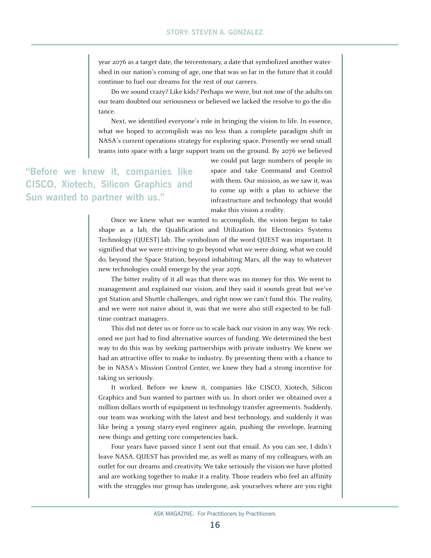year 2076 as a target date, the tercentenary, a date that symbolized another watershed in our nation's coming of age, one that was so far in the future that it could continue to fuel our dreams for the rest of our careers.

Do we sound crazy? Like kids? Perhaps we were, but not one of the adults on our team doubted our seriousness or believed we lacked the resolve to go the distance.

Next, we identified everyone's role in bringing the vision to life. In essence, what we hoped to accomplish was no less than a complete paradigm shift in NASA's current operations strategy for exploring space. Presently we send small teams into space with a large support team on the ground. By 2076 we believed

**"Before we knew it, companies like CISCO, Xiotech, Silicon Graphics and Sun wanted to partner with us."**

we could put large numbers of people in space and take Command and Control with them. Our mission, as we saw it, was to come up with a plan to achieve the infrastructure and technology that would make this vision a reality.

Once we knew what we wanted to accomplish, the vision began to take shape as a lab, the Qualification and Utilization for Electronics Systems Technology (QUEST) lab. The symbolism of the word QUEST was important. It signified that we were striving to go beyond what we were doing, what we could do, beyond the Space Station, beyond inhabiting Mars, all the way to whatever new technologies could emerge by the year 2076.

The bitter reality of it all was that there was no money for this. We went to management and explained our vision, and they said it sounds great but we've got Station and Shuttle challenges, and right now we can't fund this. The reality, and we were not naive about it, was that we were also still expected to be fulltime contract managers.

This did not deter us or force us to scale back our vision in any way. We reckoned we just had to find alternative sources of funding. We determined the best way to do this was by seeking partnerships with private industry. We knew we had an attractive offer to make to industry. By presenting them with a chance to be in NASA's Mission Control Center, we knew they had a strong incentive for taking us seriously.

It worked. Before we knew it, companies like CISCO, Xiotech, Silicon Graphics and Sun wanted to partner with us. In short order we obtained over a million dollars worth of equipment in technology transfer agreements. Suddenly, our team was working with the latest and best technology, and suddenly it was like being a young starry-eyed engineer again, pushing the envelope, learning new things and getting core competencies back.

Four years have passed since I sent out that email. As you can see, I didn't leave NASA. QUEST has provided me, as well as many of my colleagues, with an outlet for our dreams and creativity. We take seriously the vision we have plotted and are working together to make it a reality. Those readers who feel an affinity with the struggles our group has undergone, ask yourselves where are you right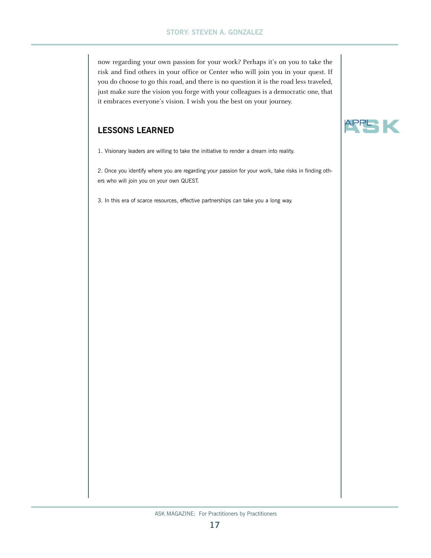now regarding your own passion for your work? Perhaps it's on you to take the risk and find others in your office or Center who will join you in your quest. If you do choose to go this road, and there is no question it is the road less traveled, just make sure the vision you forge with your colleagues is a democratic one, that it embraces everyone's vision. I wish you the best on your journey.

# **LESSONS LEARNED**

1. Visionary leaders are willing to take the initiative to render a dream into reality.

2. Once you identify where you are regarding your passion for your work, take risks in finding others who will join you on your own QUEST.

3. In this era of scarce resources, effective partnerships can take you a long way.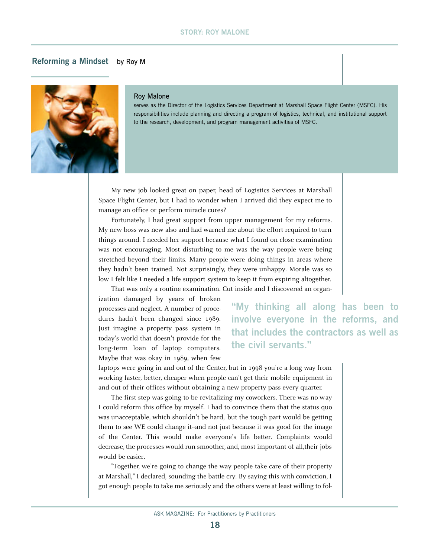### **STORY: ROY MALONE**

## **Reforming a Mindset** by Roy M



#### Roy Malone

serves as the Director of the Logistics Services Department at Marshall Space Flight Center (MSFC). His responsibilities include planning and directing a program of logistics, technical, and institutional support to the research, development, and program management activities of MSFC.

My new job looked great on paper, head of Logistics Services at Marshall Space Flight Center, but I had to wonder when I arrived did they expect me to manage an office or perform miracle cures?

Fortunately, I had great support from upper management for my reforms. My new boss was new also and had warned me about the effort required to turn things around. I needed her support because what I found on close examination was not encouraging. Most disturbing to me was the way people were being stretched beyond their limits. Many people were doing things in areas where they hadn't been trained. Not surprisingly, they were unhappy. Morale was so low I felt like I needed a life support system to keep it from expiring altogether.

That was only a routine examination. Cut inside and I discovered an organ-

ization damaged by years of broken processes and neglect. A number of procedures hadn't been changed since 1989. Just imagine a property pass system in today's world that doesn't provide for the long-term loan of laptop computers. Maybe that was okay in 1989, when few

**"My thinking all along has been to involve everyone in the reforms, and that includes the contractors as well as the civil servants."**

laptops were going in and out of the Center, but in 1998 you're a long way from working faster, better, cheaper when people can't get their mobile equipment in and out of their offices without obtaining a new property pass every quarter.

The first step was going to be revitalizing my coworkers. There was no way I could reform this office by myself. I had to convince them that the status quo was unacceptable, which shouldn't be hard, but the tough part would be getting them to see WE could change it--and not just because it was good for the image of the Center. This would make everyone's life better. Complaints would decrease, the processes would run smoother, and, most important of all,their jobs would be easier.

"Together, we're going to change the way people take care of their property at Marshall," I declared, sounding the battle cry. By saying this with conviction, I got enough people to take me seriously and the others were at least willing to fol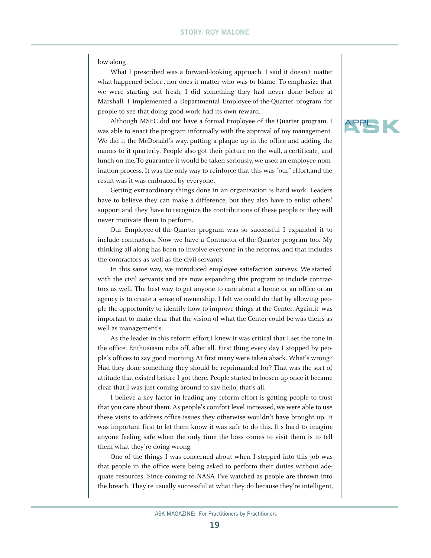low along.

What I prescribed was a forward-looking approach. I said it doesn't matter what happened before, nor does it matter who was to blame. To emphasize that we were starting out fresh, I did something they had never done before at Marshall. I implemented a Departmental Employee-of-the-Quarter program for people to see that doing good work had its own reward.

Although MSFC did not have a formal Employee of the Quarter program, I was able to enact the program informally with the approval of my management. We did it the McDonald's way, putting a plaque up in the office and adding the names to it quarterly. People also got their picture on the wall, a certificate, and lunch on me. To guarantee it would be taken seriously, we used an employee-nomination process. It was the only way to reinforce that this was "our" effort,and the result was it was embraced by everyone.

Getting extraordinary things done in an organization is hard work. Leaders have to believe they can make a difference, but they also have to enlist others' support,and they have to recognize the contributions of these people or they will never motivate them to perform.

Our Employee-of-the-Quarter program was so successful I expanded it to include contractors. Now we have a Contractor-of-the-Quarter program too. My thinking all along has been to involve everyone in the reforms, and that includes the contractors as well as the civil servants.

In this same way, we introduced employee satisfaction surveys. We started with the civil servants and are now expanding this program to include contractors as well. The best way to get anyone to care about a home or an office or an agency is to create a sense of ownership. I felt we could do that by allowing people the opportunity to identify how to improve things at the Center. Again,it was important to make clear that the vision of what the Center could be was theirs as well as management's.

As the leader in this reform effort,I knew it was critical that I set the tone in the office. Enthusiasm rubs off, after all. First thing every day I stopped by people's offices to say good morning. At first many were taken aback. What's wrong? Had they done something they should be reprimanded for? That was the sort of attitude that existed before I got there. People started to loosen up once it became clear that I was just coming around to say hello, that's all.

I believe a key factor in leading any reform effort is getting people to trust that you care about them. As people's comfort level increased, we were able to use these visits to address office issues they otherwise wouldn't have brought up. It was important first to let them know it was safe to do this. It's hard to imagine anyone feeling safe when the only time the boss comes to visit them is to tell them what they're doing wrong.

One of the things I was concerned about when I stepped into this job was that people in the office were being asked to perform their duties without adequate resources. Since coming to NASA I've watched as people are thrown into the breach. They're usually successful at what they do because they're intelligent,

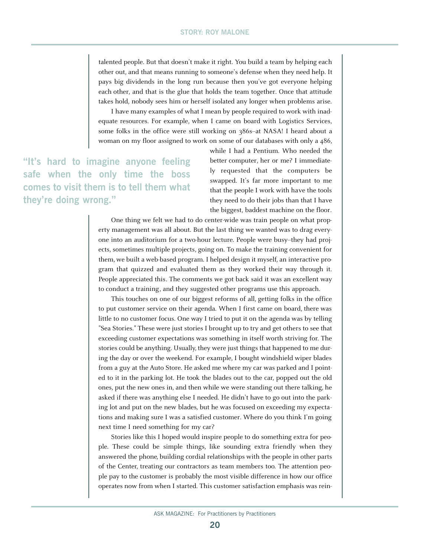talented people. But that doesn't make it right. You build a team by helping each other out, and that means running to someone's defense when they need help. It pays big dividends in the long run because then you've got everyone helping each other, and that is the glue that holds the team together. Once that attitude takes hold, nobody sees him or herself isolated any longer when problems arise.

I have many examples of what I mean by people required to work with inadequate resources. For example, when I came on board with Logistics Services, some folks in the office were still working on 386s-at NASA! I heard about a woman on my floor assigned to work on some of our databases with only a 486,

**"It's hard to imagine anyone feeling safe when the only time the boss comes to visit them is to tell them what they're doing wrong."**

while I had a Pentium. Who needed the better computer, her or me? I immediately requested that the computers be swapped. It's far more important to me that the people I work with have the tools they need to do their jobs than that I have the biggest, baddest machine on the floor.

One thing we felt we had to do center-wide was train people on what property management was all about. But the last thing we wanted was to drag everyone into an auditorium for a two-hour lecture. People were busy--they had projects, sometimes multiple projects, going on. To make the training convenient for them, we built a web-based program. I helped design it myself, an interactive program that quizzed and evaluated them as they worked their way through it. People appreciated this. The comments we got back said it was an excellent way to conduct a training, and they suggested other programs use this approach.

This touches on one of our biggest reforms of all, getting folks in the office to put customer service on their agenda. When I first came on board, there was little to no customer focus. One way I tried to put it on the agenda was by telling "Sea Stories." These were just stories I brought up to try and get others to see that exceeding customer expectations was something in itself worth striving for. The stories could be anything. Usually, they were just things that happened to me during the day or over the weekend. For example, I bought windshield wiper blades from a guy at the Auto Store. He asked me where my car was parked and I pointed to it in the parking lot. He took the blades out to the car, popped out the old ones, put the new ones in, and then while we were standing out there talking, he asked if there was anything else I needed. He didn't have to go out into the parking lot and put on the new blades, but he was focused on exceeding my expectations and making sure I was a satisfied customer. Where do you think I'm going next time I need something for my car?

Stories like this I hoped would inspire people to do something extra for people. These could be simple things, like sounding extra friendly when they answered the phone, building cordial relationships with the people in other parts of the Center, treating our contractors as team members too. The attention people pay to the customer is probably the most visible difference in how our office operates now from when I started. This customer satisfaction emphasis was rein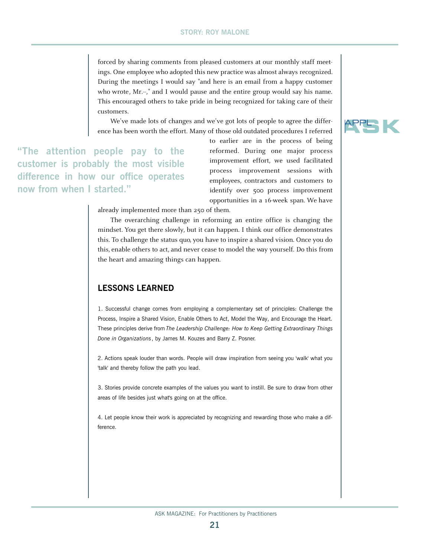forced by sharing comments from pleased customers at our monthly staff meetings. One employee who adopted this new practice was almost always recognized. During the meetings I would say "and here is an email from a happy customer who wrote, Mr.-," and I would pause and the entire group would say his name. This encouraged others to take pride in being recognized for taking care of their customers.

We've made lots of changes and we've got lots of people to agree the difference has been worth the effort. Many of those old outdated procedures I referred

**"The attention people pay to the customer is probably the most visible difference in how our office operates now from when I started."**

to earlier are in the process of being reformed. During one major process improvement effort, we used facilitated process improvement sessions with employees, contractors and customers to identify over 500 process improvement opportunities in a 16-week span. We have

already implemented more than 250 of them.

The overarching challenge in reforming an entire office is changing the mindset. You get there slowly, but it can happen. I think our office demonstrates this. To challenge the status quo, you have to inspire a shared vision. Once you do this, enable others to act, and never cease to model the way yourself. Do this from the heart and amazing things can happen.

# **LESSONS LEARNED**

1. Successful change comes from employing a complementary set of principles: Challenge the Process, Inspire a Shared Vision, Enable Others to Act, Model the Way, and Encourage the Heart. These principles derive from *The Leadership Challenge: How to Keep Getting Extraordinary Things Done in Organizations*, by James M. Kouzes and Barry Z. Posner.

2. Actions speak louder than words. People will draw inspiration from seeing you 'walk' what you 'talk' and thereby follow the path you lead.

3. Stories provide concrete examples of the values you want to instill. Be sure to draw from other areas of life besides just what's going on at the office.

4. Let people know their work is appreciated by recognizing and rewarding those who make a difference.

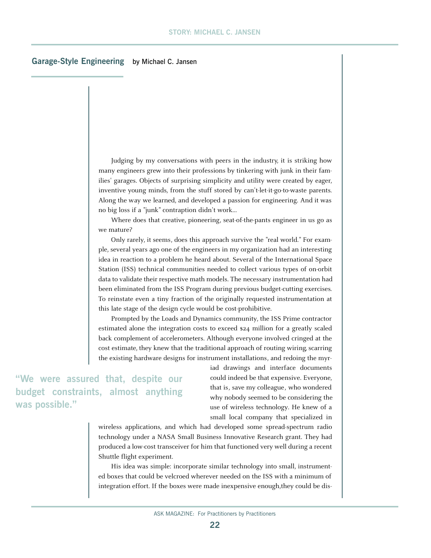## **Garage-Style Engineering** by Michael C. Jansen

Judging by my conversations with peers in the industry, it is striking how many engineers grew into their professions by tinkering with junk in their families' garages. Objects of surprising simplicity and utility were created by eager, inventive young minds, from the stuff stored by can't-let-it-go-to-waste parents. Along the way we learned, and developed a passion for engineering. And it was no big loss if a "junk" contraption didn't work...

Where does that creative, pioneering, seat-of-the-pants engineer in us go as we mature?

Only rarely, it seems, does this approach survive the "real world." For example, several years ago one of the engineers in my organization had an interesting idea in reaction to a problem he heard about. Several of the International Space Station (ISS) technical communities needed to collect various types of on-orbit data to validate their respective math models. The necessary instrumentation had been eliminated from the ISS Program during previous budget-cutting exercises. To reinstate even a tiny fraction of the originally requested instrumentation at this late stage of the design cycle would be cost-prohibitive.

Prompted by the Loads and Dynamics community, the ISS Prime contractor estimated alone the integration costs to exceed \$24 million for a greatly scaled back complement of accelerometers. Although everyone involved cringed at the cost estimate, they knew that the traditional approach of routing wiring, scarring the existing hardware designs for instrument installations, and redoing the myr-

**"We were assured that, despite our budget constraints, almost anything was possible."**

iad drawings and interface documents could indeed be that expensive. Everyone, that is, save my colleague, who wondered why nobody seemed to be considering the use of wireless technology. He knew of a small local company that specialized in

wireless applications, and which had developed some spread-spectrum radio technology under a NASA Small Business Innovative Research grant. They had produced a low-cost transceiver for him that functioned very well during a recent Shuttle flight experiment.

His idea was simple: incorporate similar technology into small, instrumented boxes that could be velcroed wherever needed on the ISS with a minimum of integration effort. If the boxes were made inexpensive enough, they could be dis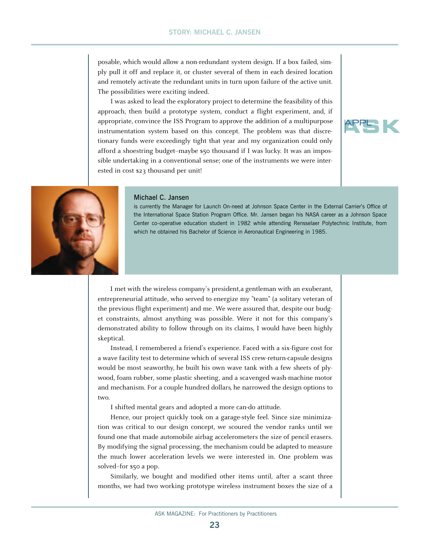posable, which would allow a non-redundant system design. If a box failed, simply pull it off and replace it, or cluster several of them in each desired location and remotely activate the redundant units in turn upon failure of the active unit. The possibilities were exciting indeed.

I was asked to lead the exploratory project to determine the feasibility of this approach, then build a prototype system, conduct a flight experiment, and, if appropriate, convince the ISS Program to approve the addition of a multipurpose instrumentation system based on this concept. The problem was that discretionary funds were exceedingly tight that year and my organization could only afford a shoestring budget-maybe \$50 thousand if I was lucky. It was an impossible undertaking in a conventional sense; one of the instruments we were interested in cost \$23 thousand per unit!





### Michael C. Jansen

is currently the Manager for Launch On-need at Johnson Space Center in the External Carrier's Office of the International Space Station Program Office. Mr. Jansen began his NASA career as a Johnson Space Center co-operative education student in 1982 while attending Rensselaer Polytechnic Institute, from which he obtained his Bachelor of Science in Aeronautical Engineering in 1985.

I met with the wireless company's president,a gentleman with an exuberant, entrepreneurial attitude, who served to energize my "team" (a solitary veteran of the previous flight experiment) and me. We were assured that, despite our budget constraints, almost anything was possible. Were it not for this company's demonstrated ability to follow through on its claims, I would have been highly skeptical.

Instead, I remembered a friend's experience. Faced with a six-figure cost for a wave facility test to determine which of several ISS crew-return-capsule designs would be most seaworthy, he built his own wave tank with a few sheets of plywood, foam rubber, some plastic sheeting, and a scavenged wash-machine motor and mechanism. For a couple hundred dollars, he narrowed the design options to two.

I shifted mental gears and adopted a more can-do attitude.

Hence, our project quickly took on a garage-style feel. Since size minimization was critical to our design concept, we scoured the vendor ranks until we found one that made automobile airbag accelerometers the size of pencil erasers. By modifying the signal processing, the mechanism could be adapted to measure the much lower acceleration levels we were interested in. One problem was solved-for  $$50$  a pop.

Similarly, we bought and modified other items until, after a scant three months, we had two working prototype wireless instrument boxes the size of a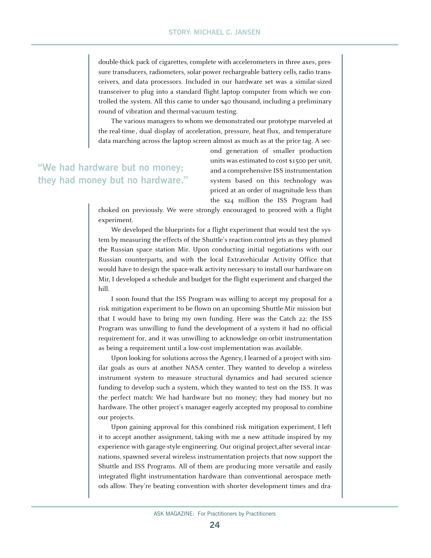double-thick pack of cigarettes, complete with accelerometers in three axes, pressure transducers, radiometers, solar-power rechargeable battery cells, radio transceivers, and data processors. Included in our hardware set was a similar-sized transceiver to plug into a standard flight laptop computer from which we controlled the system. All this came to under \$40 thousand, including a preliminary round of vibration and thermal-vacuum testing.

The various managers to whom we demonstrated our prototype marveled at the real-time, dual display of acceleration, pressure, heat flux, and temperature data marching across the laptop screen almost as much as at the price tag. A sec-

# **"We had hardware but no money; they had money but no hardware."**

ond generation of smaller production units was estimated to cost \$1500 per unit, and a comprehensive ISS instrumentation system based on this technology was priced at an order of magnitude less than the \$24 million the ISS Program had

choked on previously. We were strongly encouraged to proceed with a flight experiment.

We developed the blueprints for a flight experiment that would test the system by measuring the effects of the Shuttle's reaction control jets as they plumed the Russian space station Mir. Upon conducting initial negotiations with our Russian counterparts, and with the local Extravehicular Activity Office that would have to design the space-walk activity necessary to install our hardware on Mir, I developed a schedule and budget for the flight experiment and charged the hill.

I soon found that the ISS Program was willing to accept my proposal for a risk mitigation experiment to be flown on an upcoming Shuttle-Mir mission but that I would have to bring my own funding. Here was the Catch 22: the ISS Program was unwilling to fund the development of a system it had no official requirement for, and it was unwilling to acknowledge on-orbit instrumentation as being a requirement until a low-cost implementation was available.

Upon looking for solutions across the Agency, I learned of a project with similar goals as ours at another NASA center. They wanted to develop a wireless instrument system to measure structural dynamics and had secured science funding to develop such a system, which they wanted to test on the ISS. It was the perfect match: We had hardware but no money; they had money but no hardware. The other project's manager eagerly accepted my proposal to combine our projects.

Upon gaining approval for this combined risk mitigation experiment, I left it to accept another assignment, taking with me a new attitude inspired by my experience with garage-style engineering. Our original project,after several incarnations, spawned several wireless instrumentation projects that now support the Shuttle and ISS Programs. All of them are producing more versatile and easily integrated flight instrumentation hardware than conventional aerospace methods allow. They're beating convention with shorter development times and dra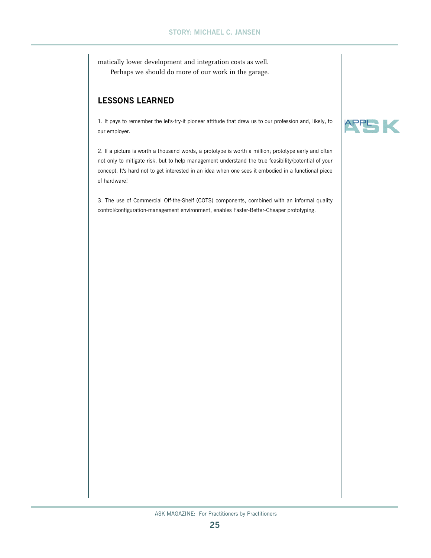matically lower development and integration costs as well. Perhaps we should do more of our work in the garage.

# **LESSONS LEARNED**

1. It pays to remember the let's-try-it pioneer attitude that drew us to our profession and, likely, to our employer.

2. If a picture is worth a thousand words, a prototype is worth a million; prototype early and often not only to mitigate risk, but to help management understand the true feasibility/potential of your concept. It's hard not to get interested in an idea when one sees it embodied in a functional piece of hardware!

3. The use of Commercial Off-the-Shelf (COTS) components, combined with an informal quality control/configuration-management environment, enables Faster-Better-Cheaper prototyping.

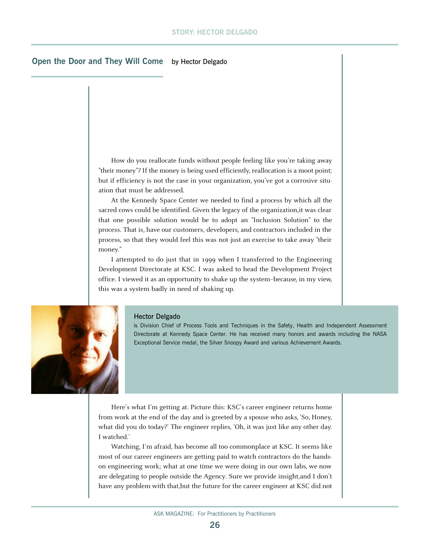## **Open the Door and They Will Come** by Hector Delgado

How do you reallocate funds without people feeling like you're taking away "their money"? If the money is being used efficiently, reallocation is a moot point; but if efficiency is not the case in your organization, you've got a corrosive situation that must be addressed.

At the Kennedy Space Center we needed to find a process by which all the sacred cows could be identified. Given the legacy of the organization,it was clear that one possible solution would be to adopt an "Inclusion Solution" to the process. That is, have our customers, developers, and contractors included in the process, so that they would feel this was not just an exercise to take away "their money."

I attempted to do just that in 1999 when I transferred to the Engineering Development Directorate at KSC. I was asked to head the Development Project office. I viewed it as an opportunity to shake up the system--because, in my view, this was a system badly in need of shaking up.



#### Hector Delgado

is Division Chief of Process Tools and Techniques in the Safety, Health and Independent Assessment Directorate at Kennedy Space Center. He has received many honors and awards including the NASA Exceptional Service medal, the Silver Snoopy Award and various Achievement Awards.

Here's what I'm getting at. Picture this: KSC's career engineer returns home from work at the end of the day and is greeted by a spouse who asks, 'So, Honey, what did you do today?' The engineer replies, 'Oh, it was just like any other day. I watched.'

Watching, I'm afraid, has become all too commonplace at KSC. It seems like most of our career engineers are getting paid to watch contractors do the handson engineering work; what at one time we were doing in our own labs, we now are delegating to people outside the Agency. Sure we provide insight,and I don't have any problem with that,but the future for the career engineer at KSC did not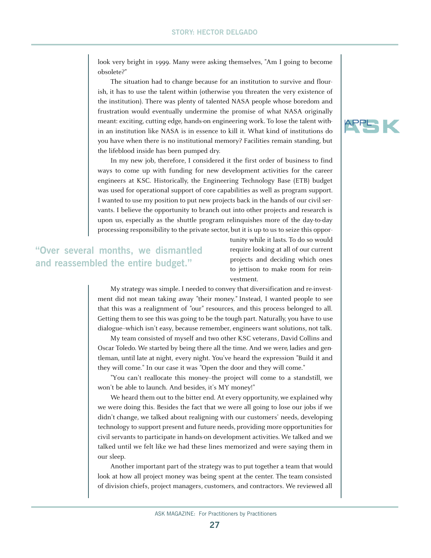look very bright in 1999. Many were asking themselves, "Am I going to become obsolete?"

The situation had to change because for an institution to survive and flourish, it has to use the talent within (otherwise you threaten the very existence of the institution). There was plenty of talented NASA people whose boredom and frustration would eventually undermine the promise of what NASA originally meant: exciting, cutting edge, hands-on engineering work. To lose the talent within an institution like NASA is in essence to kill it. What kind of institutions do you have when there is no institutional memory? Facilities remain standing, but the lifeblood inside has been pumped dry.

In my new job, therefore, I considered it the first order of business to find ways to come up with funding for new development activities for the career engineers at KSC. Historically, the Engineering Technology Base (ETB) budget was used for operational support of core capabilities as well as program support. I wanted to use my position to put new projects back in the hands of our civil servants. I believe the opportunity to branch out into other projects and research is upon us, especially as the shuttle program relinquishes more of the day-to-day processing responsibility to the private sector, but it is up to us to seize this oppor-

**"Over several months, we dismantled and reassembled the entire budget."**

tunity while it lasts. To do so would require looking at all of our current projects and deciding which ones to jettison to make room for reinvestment.

My strategy was simple. I needed to convey that diversification and re-investment did not mean taking away "their money." Instead, I wanted people to see that this was a realignment of "our" resources, and this process belonged to all. Getting them to see this was going to be the tough part. Naturally, you have to use dialogue--which isn't easy, because remember, engineers want solutions, not talk.

My team consisted of myself and two other KSC veterans, David Collins and Oscar Toledo. We started by being there all the time. And we were, ladies and gentleman, until late at night, every night. You've heard the expression "Build it and they will come." In our case it was "Open the door and they will come."

"You can't reallocate this money--the project will come to a standstill, we won't be able to launch. And besides, it's MY money!"

We heard them out to the bitter end. At every opportunity, we explained why we were doing this. Besides the fact that we were all going to lose our jobs if we didn't change, we talked about realigning with our customers' needs, developing technology to support present and future needs, providing more opportunities for civil servants to participate in hands-on development activities. We talked and we talked until we felt like we had these lines memorized and were saying them in our sleep.

Another important part of the strategy was to put together a team that would look at how all project money was being spent at the center. The team consisted of division chiefs, project managers, customers, and contractors. We reviewed all

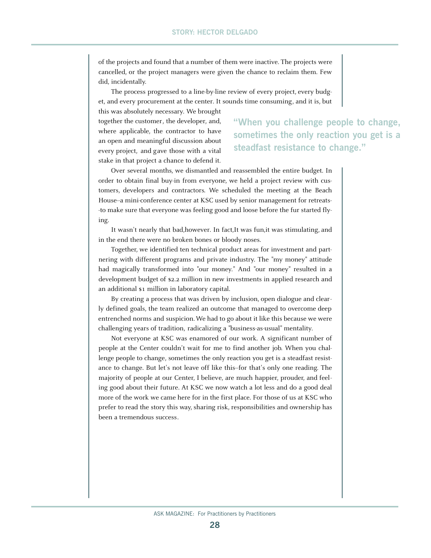of the projects and found that a number of them were inactive. The projects were cancelled, or the project managers were given the chance to reclaim them. Few did, incidentally.

The process progressed to a line-by-line review of every project, every budget, and every procurement at the center. It sounds time consuming, and it is, but this was absolutely necessary. We brought

together the customer, the developer, and, where applicable, the contractor to have an open and meaningful discussion about every project, and gave those with a vital stake in that project a chance to defend it.

# **"When you challenge people to change, sometimes the only reaction you get is a steadfast resistance to change."**

Over several months, we dismantled and reassembled the entire budget. In order to obtain final buy-in from everyone, we held a project review with customers, developers and contractors. We scheduled the meeting at the Beach House--a mini-conference center at KSC used by senior management for retreats--to make sure that everyone was feeling good and loose before the fur started flying.

It wasn't nearly that bad,however. In fact,It was fun,it was stimulating, and in the end there were no broken bones or bloody noses.

Together, we identified ten technical product areas for investment and partnering with different programs and private industry. The "my money" attitude had magically transformed into "our money." And "our money" resulted in a development budget of \$2.2 million in new investments in applied research and an additional \$1 million in laboratory capital.

By creating a process that was driven by inclusion, open dialogue and clearly defined goals, the team realized an outcome that managed to overcome deep entrenched norms and suspicion. We had to go about it like this because we were challenging years of tradition, radicalizing a "business-as-usual" mentality.

Not everyone at KSC was enamored of our work. A significant number of people at the Center couldn't wait for me to find another job. When you challenge people to change, sometimes the only reaction you get is a steadfast resistance to change. But let's not leave off like this--for that's only one reading. The majority of people at our Center, I believe, are much happier, prouder, and feeling good about their future. At KSC we now watch a lot less and do a good deal more of the work we came here for in the first place. For those of us at KSC who prefer to read the story this way, sharing risk, responsibilities and ownership has been a tremendous success.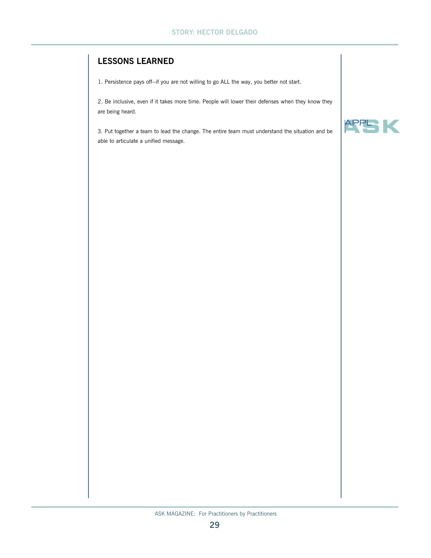# **LESSONS LEARNED**

1. Persistence pays off--if you are not willing to go ALL the way, you better not start.

2. Be inclusive, even if it takes more time. People will lower their defenses when they know they are being heard.

3. Put together a team to lead the change. The entire team must understand the situation and be able to articulate a unified message.

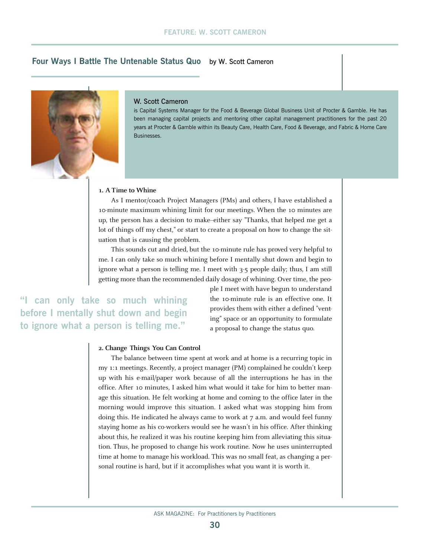# **Four Ways I Battle The Untenable Status Quo** by W. Scott Cameron



#### W. Scott Cameron

is Capital Systems Manager for the Food & Beverage Global Business Unit of Procter & Gamble. He has been managing capital projects and mentoring other capital management practitioners for the past 20 years at Procter & Gamble within its Beauty Care, Health Care, Food & Beverage, and Fabric & Home Care Businesses.

### **1. A Time to Whine**

As I mentor/coach Project Managers (PMs) and others, I have established a 10-minute maximum whining limit for our meetings. When the 10 minutes are up, the person has a decision to make--either say "Thanks, that helped me get a lot of things off my chest," or start to create a proposal on how to change the situation that is causing the problem.

This sounds cut and dried, but the 10-minute rule has proved very helpful to me. I can only take so much whining before I mentally shut down and begin to ignore what a person is telling me. I meet with 3-5 people daily; thus, I am still getting more than the recommended daily dosage of whining. Over time, the peo-

can only take so much whining **before I mentally shut down and begin to ignore what a person is telling me."**

ple I meet with have begun to understand the 10-minute rule is an effective one. It provides them with either a defined "venting" space or an opportunity to formulate a proposal to change the status quo.

### **2. Change Things You Can Control**

The balance between time spent at work and at home is a recurring topic in my 1:1 meetings. Recently, a project manager (PM) complained he couldn't keep up with his e-mail/paper work because of all the interruptions he has in the office. After 10 minutes, I asked him what would it take for him to better manage this situation. He felt working at home and coming to the office later in the morning would improve this situation. I asked what was stopping him from doing this. He indicated he always came to work at 7 a.m. and would feel funny staying home as his co-workers would see he wasn't in his office. After thinking about this, he realized it was his routine keeping him from alleviating this situation. Thus, he proposed to change his work routine. Now he uses uninterrupted time at home to manage his workload. This was no small feat, as changing a personal routine is hard, but if it accomplishes what you want it is worth it.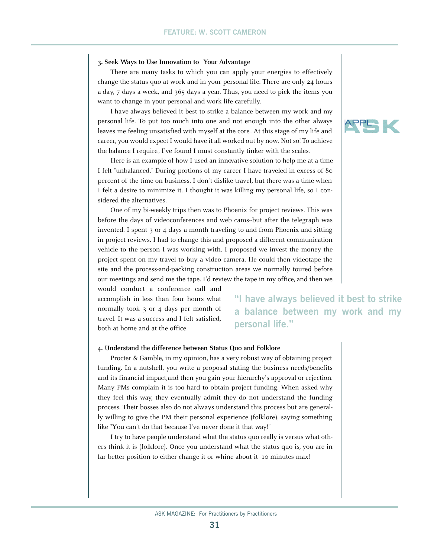### **3. Seek Ways to Use Innovation to Your Advantage**

There are many tasks to which you can apply your energies to effectively change the status quo at work and in your personal life. There are only 24 hours a day, 7 days a week, and 365 days a year. Thus, you need to pick the items you want to change in your personal and work life carefully.

I have always believed it best to strike a balance between my work and my personal life. To put too much into one and not enough into the other always leaves me feeling unsatisfied with myself at the core. At this stage of my life and career, you would expect I would have it all worked out by now. Not so! To achieve the balance I require, I've found I must constantly tinker with the scales.

Here is an example of how I used an innovative solution to help me at a time I felt "unbalanced." During portions of my career I have traveled in excess of 80 percent of the time on business. I don't dislike travel, but there was a time when I felt a desire to minimize it. I thought it was killing my personal life, so I considered the alternatives.

One of my bi-weekly trips then was to Phoenix for project reviews. This was before the days of videoconferences and web cams--but after the telegraph was invented. I spent 3 or 4 days a month traveling to and from Phoenix and sitting in project reviews. I had to change this and proposed a different communication vehicle to the person I was working with. I proposed we invest the money the project spent on my travel to buy a video camera. He could then videotape the site and the process-and-packing construction areas we normally toured before our meetings and send me the tape. I'd review the tape in my office, and then we

would conduct a conference call and accomplish in less than four hours what normally took 3 or 4 days per month of travel. It was a success and I felt satisfied, both at home and at the office.

**"I have always believed it best to strike a balance between my work and my personal life."**

### **4. Understand the difference between Status Quo and Folklore**

Procter & Gamble, in my opinion, has a very robust way of obtaining project funding. In a nutshell, you write a proposal stating the business needs/benefits and its financial impact,and then you gain your hierarchy's approval or rejection. Many PMs complain it is too hard to obtain project funding. When asked why they feel this way, they eventually admit they do not understand the funding process. Their bosses also do not always understand this process but are generally willing to give the PM their personal experience (folklore), saying something like "You can't do that because I've never done it that way!"

I try to have people understand what the status quo really is versus what others think it is (folklore). Once you understand what the status quo is, you are in far better position to either change it or whine about it-10 minutes max!

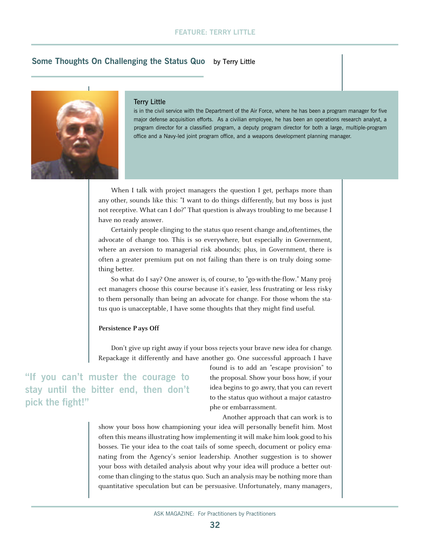# **Some Thoughts On Challenging the Status Quo** by Terry Little



#### Terry Little

is in the civil service with the Department of the Air Force, where he has been a program manager for five major defense acquisition efforts. As a civilian employee, he has been an operations research analyst, a program director for a classified program, a deputy program director for both a large, multiple-program office and a Navy-led joint program office, and a weapons development planning manager.

When I talk with project managers the question I get, perhaps more than any other, sounds like this: "I want to do things differently, but my boss is just not receptive. What can I do?" That question is always troubling to me because I have no ready answer.

Certainly people clinging to the status quo resent change and,oftentimes, the advocate of change too. This is so everywhere, but especially in Government, where an aversion to managerial risk abounds; plus, in Government, there is often a greater premium put on not failing than there is on truly doing something better.

So what do I say? One answer is, of course, to "go-with-the-flow." Many project managers choose this course because it's easier, less frustrating or less risky to them personally than being an advocate for change. For those whom the status quo is unacceptable, I have some thoughts that they might find useful.

#### **Persistence P ays Off**

Don't give up right away if your boss rejects your brave new idea for change. Repackage it differently and have another go. One successful approach I have

**"If you can't muster the courage to stay until the bitter end, then don't pick the fight!"**

found is to add an "escape provision" to the proposal. Show your boss how, if your idea begins to go awry, that you can revert to the status quo without a major catastrophe or embarrassment.

Another approach that can work is to

show your boss how championing your idea will personally benefit him. Most often this means illustrating how implementing it will make him look good to his bosses. Tie your idea to the coat tails of some speech, document or policy emanating from the Agency's senior leadership. Another suggestion is to shower your boss with detailed analysis about why your idea will produce a better outcome than clinging to the status quo. Such an analysis may be nothing more than quantitative speculation but can be persuasive. Unfortunately, many managers,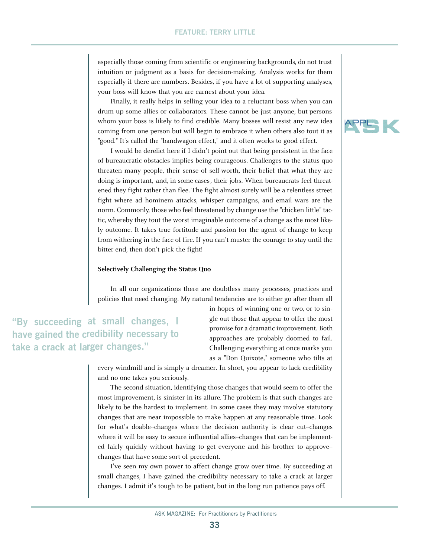especially those coming from scientific or engineering backgrounds, do not trust intuition or judgment as a basis for decision-making. Analysis works for them especially if there are numbers. Besides, if you have a lot of supporting analyses, your boss will know that you are earnest about your idea.

Finally, it really helps in selling your idea to a reluctant boss when you can drum up some allies or collaborators. These cannot be just anyone, but persons whom your boss is likely to find credible. Many bosses will resist any new idea coming from one person but will begin to embrace it when others also tout it as "good." It's called the "bandwagon effect," and it often works to good effect.

I would be derelict here if I didn't point out that being persistent in the face of bureaucratic obstacles implies being courageous. Challenges to the status quo threaten many people, their sense of self-worth, their belief that what they are doing is important, and, in some cases, their jobs. When bureaucrats feel threatened they fight rather than flee. The fight almost surely will be a relentless street fight where ad hominem attacks, whisper campaigns, and email wars are the norm. Commonly, those who feel threatened by change use the "chicken little" tactic, whereby they tout the worst imaginable outcome of a change as the most likely outcome. It takes true fortitude and passion for the agent of change to keep from withering in the face of fire. If you can't muster the courage to stay until the bitter end, then don't pick the fight!

#### **Selectively Challenging the Status Quo**

In all our organizations there are doubtless many processes, practices and policies that need changing. My natural tendencies are to either go after them all

**"By succeeding at small changes, I have gained the credibility necessary to take a crack at larger changes."**

in hopes of winning one or two, or to single out those that appear to offer the most promise for a dramatic improvement. Both approaches are probably doomed to fail. Challenging everything at once marks you as a "Don Quixote," someone who tilts at

every windmill and is simply a dreamer. In short, you appear to lack credibility and no one takes you seriously.

The second situation, identifying those changes that would seem to offer the most improvement, is sinister in its allure. The problem is that such changes are likely to be the hardest to implement. In some cases they may involve statutory changes that are near impossible to make happen at any reasonable time. Look for what's doable--changes where the decision authority is clear cut--changes where it will be easy to secure influential allies-changes that can be implemented fairly quickly without having to get everyone and his brother to approve- changes that have some sort of precedent.

I've seen my own power to affect change grow over time. By succeeding at small changes, I have gained the credibility necessary to take a crack at larger changes. I admit it's tough to be patient, but in the long run patience pays off.

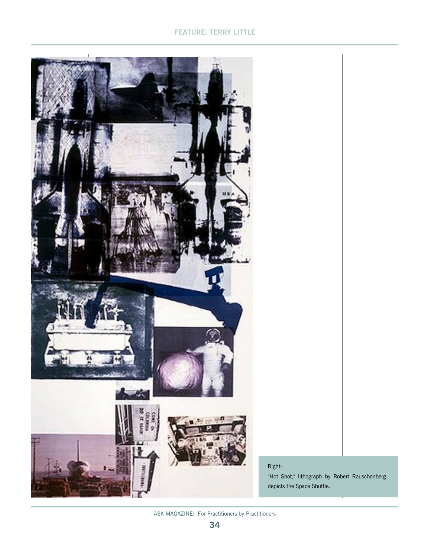# **FEATURE: TERRY LITTLE**



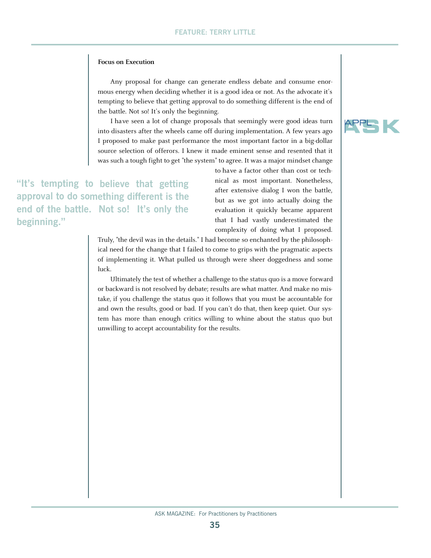### **Focus on Execution**

Any proposal for change can generate endless debate and consume enormous energy when deciding whether it is a good idea or not. As the advocate it's tempting to believe that getting approval to do something different is the end of the battle. Not so! It's only the beginning.

I have seen a lot of change proposals that seemingly were good ideas turn into disasters after the wheels came off during implementation. A few years ago I proposed to make past performance the most important factor in a big-dollar source selection of offerors. I knew it made eminent sense and resented that it was such a tough fight to get "the system" to agree. It was a major mindset change

 **believe that getting "It's tempting to mething different is the approval to do so** end of the battle. Not so! It's only the **beginning."**

to have a factor other than cost or technical as most important. Nonetheless, after extensive dialog I won the battle, but as we got into actually doing the evaluation it quickly became apparent that I had vastly underestimated the complexity of doing what I proposed.

Truly, "the devil was in the details." I had become so enchanted by the philosophical need for the change that I failed to come to grips with the pragmatic aspects of implementing it. What pulled us through were sheer doggedness and some luck.

Ultimately the test of whether a challenge to the status quo is a move forward or backward is not resolved by debate; results are what matter. And make no mistake, if you challenge the status quo it follows that you must be accountable for and own the results, good or bad. If you can't do that, then keep quiet. Our system has more than enough critics willing to whine about the status quo but unwilling to accept accountability for the results.

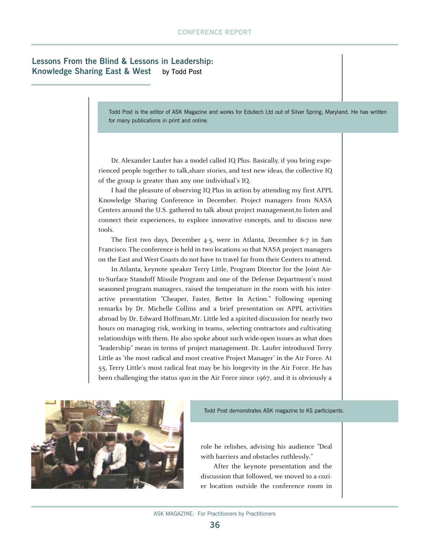# **Lessons From the Blind & Lessons in Leadership: Knowledge Sharing East & West** by Todd Post

Todd Post is the editor of ASK Magazine and works for Edutech Ltd out of Silver Spring, Maryland. He has written for many publications in print and online.

Dr. Alexander Laufer has a model called IQ Plus. Basically, if you bring experienced people together to talk,share stories, and test new ideas, the collective IQ of the group is greater than any one individual's IQ.

I had the pleasure of observing IQ Plus in action by attending my first APPL Knowledge Sharing Conference in December. Project managers from NASA Centers around the U.S. gathered to talk about project management,to listen and connect their experiences, to explore innovative concepts, and to discuss new tools.

The first two days, December 4-5, were in Atlanta, December 6-7 in San Francisco. The conference is held in two locations so that NASA project managers on the East and West Coasts do not have to travel far from their Centers to attend.

In Atlanta, keynote speaker Terry Little, Program Director for the Joint Airto-Surface Standoff Missile Program and one of the Defense Department's most seasoned program managers, raised the temperature in the room with his interactive presentation "Cheaper, Faster, Better In Action." Following opening remarks by Dr. Michelle Collins and a brief presentation on APPL activities abroad by Dr. Edward Hoffman,Mr. Little led a spirited discussion for nearly two hours on managing risk, working in teams, selecting contractors and cultivating relationships with them. He also spoke about such wide-open issues as what does "leadership" mean in terms of project management. Dr. Laufer introduced Terry Little as 'the most radical and most creative Project Manager' in the Air Force. At 55, Terry Little's most radical feat may be his longevity in the Air Force. He has been challenging the status quo in the Air Force since 1967, and it is obviously a



Todd Post demonstrates ASK magazine to KS participants.

role he relishes, advising his audience "Deal with barriers and obstacles ruthlessly."

After the keynote presentation and the discussion that followed, we moved to a cozier location outside the conference room in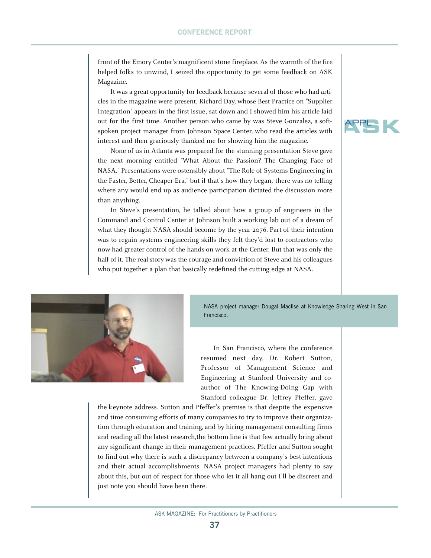front of the Emory Center's magnificent stone fireplace. As the warmth of the fire helped folks to unwind, I seized the opportunity to get some feedback on ASK Magazine.

It was a great opportunity for feedback because several of those who had articles in the magazine were present. Richard Day, whose Best Practice on "Supplier Integration" appears in the first issue, sat down and I showed him his article laid out for the first time. Another person who came by was Steve Gonzalez, a softspoken project manager from Johnson Space Center, who read the articles with interest and then graciously thanked me for showing him the magazine.

None of us in Atlanta was prepared for the stunning presentation Steve gave the next morning entitled "What About the Passion? The Changing Face of NASA." Presentations were ostensibly about "The Role of Systems Engineering in the Faster, Better, Cheaper Era," but if that's how they began, there was no telling where any would end up as audience participation dictated the discussion more than anything.

In Steve's presentation, he talked about how a group of engineers in the Command and Control Center at Johnson built a working lab out of a dream of what they thought NASA should become by the year 2076. Part of their intention was to regain systems engineering skills they felt they'd lost to contractors who now had greater control of the hands-on work at the Center. But that was only the half of it. The real story was the courage and conviction of Steve and his colleagues who put together a plan that basically redefined the cutting edge at NASA.





NASA project manager Dougal Maclise at Knowledge Sharing West in San Francisco.

In San Francisco, where the conference resumed next day, Dr. Robert Sutton, Professor of Management Science and Engineering at Stanford University and coauthor of The Knowing-Doing Gap with Stanford colleague Dr. Jeffrey Pfeffer, gave

the keynote address. Sutton and Pfeffer's premise is that despite the expensive and time consuming efforts of many companies to try to improve their organization through education and training, and by hiring management consulting firms and reading all the latest research,the bottom line is that few actually bring about any significant change in their management practices. Pfeffer and Sutton sought to find out why there is such a discrepancy between a company's best intentions and their actual accomplishments. NASA project managers had plenty to say about this, but out of respect for those who let it all hang out I'll be discreet and just note you should have been there.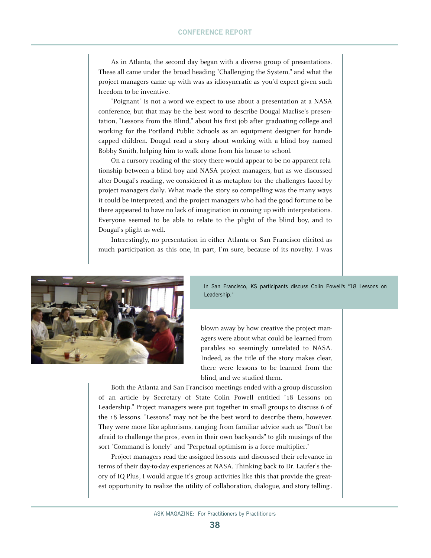As in Atlanta, the second day began with a diverse group of presentations. These all came under the broad heading "Challenging the System," and what the project managers came up with was as idiosyncratic as you'd expect given such freedom to be inventive.

"Poignant" is not a word we expect to use about a presentation at a NASA conference, but that may be the best word to describe Dougal Maclise's presentation, "Lessons from the Blind," about his first job after graduating college and working for the Portland Public Schools as an equipment designer for handicapped children. Dougal read a story about working with a blind boy named Bobby Smith, helping him to walk alone from his house to school.

On a cursory reading of the story there would appear to be no apparent relationship between a blind boy and NASA project managers, but as we discussed after Dougal's reading, we considered it as metaphor for the challenges faced by project managers daily. What made the story so compelling was the many ways it could be interpreted, and the project managers who had the good fortune to be there appeared to have no lack of imagination in coming up with interpretations. Everyone seemed to be able to relate to the plight of the blind boy, and to Dougal's plight as well.

Interestingly, no presentation in either Atlanta or San Francisco elicited as much participation as this one, in part, I'm sure, because of its novelty. I was



In San Francisco, KS participants discuss Colin Powell's "18 Lessons on Leadership."

blown away by how creative the project managers were about what could be learned from parables so seemingly unrelated to NASA. Indeed, as the title of the story makes clear, there were lessons to be learned from the blind, and we studied them.

Both the Atlanta and San Francisco meetings ended with a group discussion of an article by Secretary of State Colin Powell entitled "18 Lessons on Leadership." Project managers were put together in small groups to discuss 6 of the 18 lessons. "Lessons" may not be the best word to describe them, however. They were more like aphorisms, ranging from familiar advice such as "Don't be afraid to challenge the pros, even in their own backyards" to glib musings of the sort "Command is lonely" and "Perpetual optimism is a force multiplier."

Project managers read the assigned lessons and discussed their relevance in terms of their day-to-day experiences at NASA. Thinking back to Dr. Laufer's theory of IQ Plus, I would argue it's group activities like this that provide the greatest opportunity to realize the utility of collaboration, dialogue, and story telling.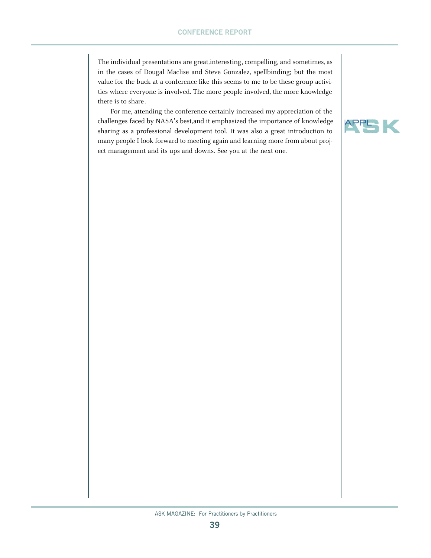The individual presentations are great,interesting, compelling, and sometimes, as in the cases of Dougal Maclise and Steve Gonzalez, spellbinding; but the most value for the buck at a conference like this seems to me to be these group activities where everyone is involved. The more people involved, the more knowledge there is to share.

For me, attending the conference certainly increased my appreciation of the challenges faced by NASA's best,and it emphasized the importance of knowledge sharing as a professional development tool. It was also a great introduction to many people I look forward to meeting again and learning more from about project management and its ups and downs. See you at the next one.

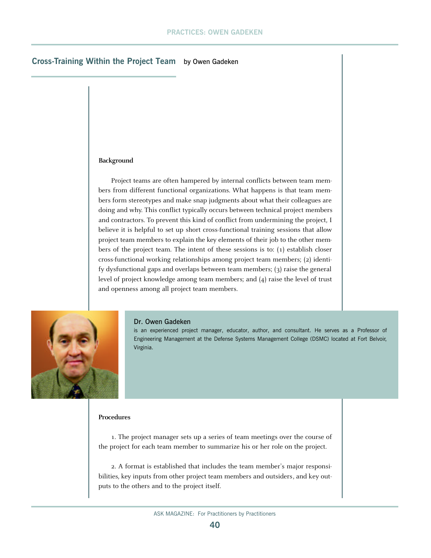## **Cross-Training Within the Project Team** by Owen Gadeken

### **Background**

Project teams are often hampered by internal conflicts between team members from different functional organizations. What happens is that team members form stereotypes and make snap judgments about what their colleagues are doing and why. This conflict typically occurs between technical project members and contractors. To prevent this kind of conflict from undermining the project, I believe it is helpful to set up short cross-functional training sessions that allow project team members to explain the key elements of their job to the other members of the project team. The intent of these sessions is to: (1) establish closer cross-functional working relationships among project team members; (2) identify dysfunctional gaps and overlaps between team members; (3) raise the general level of project knowledge among team members; and (4) raise the level of trust and openness among all project team members.



#### Dr. Owen Gadeken

is an experienced project manager, educator, author, and consultant. He serves as a Professor of Engineering Management at the Defense Systems Management College (DSMC) located at Fort Belvoir, Virginia.

### **Procedures**

1. The project manager sets up a series of team meetings over the course of the project for each team member to summarize his or her role on the project.

2. A format is established that includes the team member's major responsibilities, key inputs from other project team members and outsiders, and key outputs to the others and to the project itself.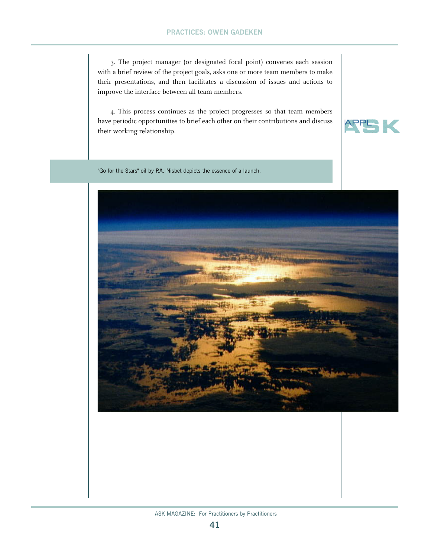3. The project manager (or designated focal point) convenes each session with a brief review of the project goals, asks one or more team members to make their presentations, and then facilitates a discussion of issues and actions to improve the interface between all team members.

4. This process continues as the project progresses so that team members have periodic opportunities to brief each other on their contributions and discuss their working relationship.



"Go for the Stars" oil by P.A. Nisbet depicts the essence of a launch.

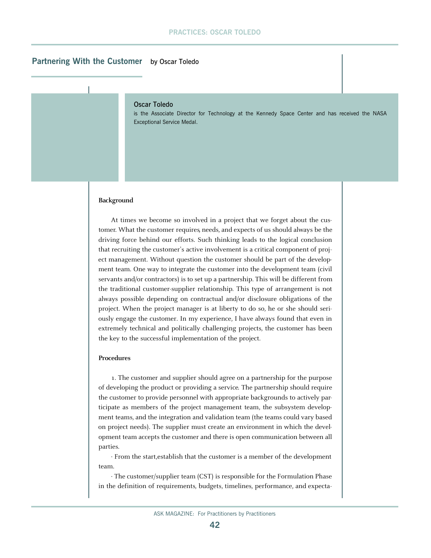## **Partnering With the Customer** by Oscar Toledo

### Oscar Toledo

is the Associate Director for Technology at the Kennedy Space Center and has received the NASA Exceptional Service Medal.

### **Background**

At times we become so involved in a project that we forget about the customer. What the customer requires, needs, and expects of us should always be the driving force behind our efforts. Such thinking leads to the logical conclusion that recruiting the customer's active involvement is a critical component of project management. Without question the customer should be part of the development team. One way to integrate the customer into the development team (civil servants and/or contractors) is to set up a partnership. This will be different from the traditional customer-supplier relationship. This type of arrangement is not always possible depending on contractual and/or disclosure obligations of the project. When the project manager is at liberty to do so, he or she should seriously engage the customer. In my experience, I have always found that even in extremely technical and politically challenging projects, the customer has been the key to the successful implementation of the project.

#### **Procedures**

1. The customer and supplier should agree on a partnership for the purpose of developing the product or providing a service. The partnership should require the customer to provide personnel with appropriate backgrounds to actively participate as members of the project management team, the subsystem development teams, and the integration and validation team (the teams could vary based on project needs). The supplier must create an environment in which the development team accepts the customer and there is open communication between all parties.

· From the start,establish that the customer is a member of the development team.

· The customer/supplier team (CST) is responsible for the Formulation Phase in the definition of requirements, budgets, timelines, performance, and expecta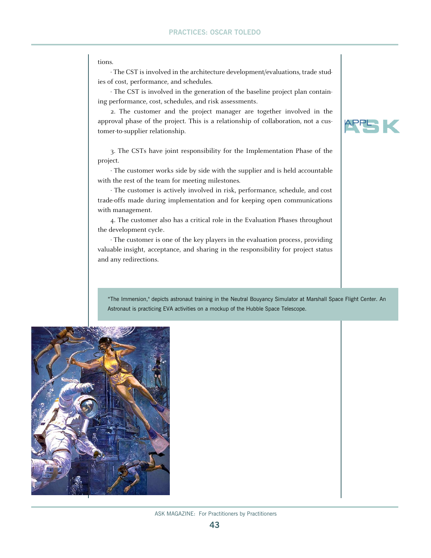tions.

· The CST is involved in the architecture development/evaluations, trade studies of cost, performance, and schedules.

· The CST is involved in the generation of the baseline project plan containing performance, cost, schedules, and risk assessments.

2. The customer and the project manager are together involved in the approval phase of the project. This is a relationship of collaboration, not a customer-to-supplier relationship.

3. The CSTs have joint responsibility for the Implementation Phase of the project.

· The customer works side by side with the supplier and is held accountable with the rest of the team for meeting milestones.

· The customer is actively involved in risk, performance, schedule, and cost trade-offs made during implementation and for keeping open communications with management.

4. The customer also has a critical role in the Evaluation Phases throughout the development cycle.

· The customer is one of the key players in the evaluation process, providing valuable insight, acceptance, and sharing in the responsibility for project status and any redirections.

"The Immersion," depicts astronaut training in the Neutral Bouyancy Simulator at Marshall Space Flight Center. An Astronaut is practicing EVA activities on a mockup of the Hubble Space Telescope.



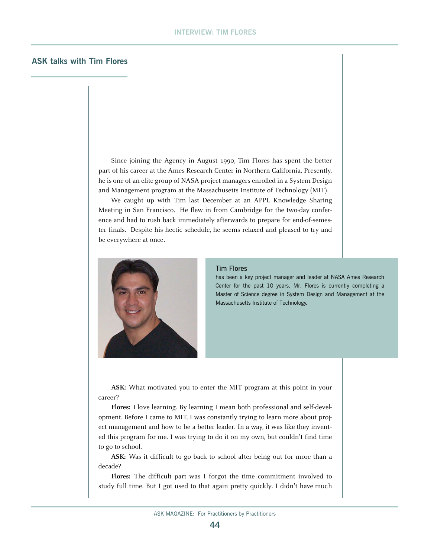## **ASK talks with Tim Flores**

Since joining the Agency in August 1990, Tim Flores has spent the better part of his career at the Ames Research Center in Northern California. Presently, he is one of an elite group of NASA project managers enrolled in a System Design and Management program at the Massachusetts Institute of Technology (MIT).

We caught up with Tim last December at an APPL Knowledge Sharing Meeting in San Francisco. He flew in from Cambridge for the two-day conference and had to rush back immediately afterwards to prepare for end-of-semester finals. Despite his hectic schedule, he seems relaxed and pleased to try and be everywhere at once.



#### Tim Flores

has been a key project manager and leader at NASA Ames Research Center for the past 10 years. Mr. Flores is currently completing a Master of Science degree in System Design and Management at the Massachusetts Institute of Technology.

**ASK:** What motivated you to enter the MIT program at this point in your career?

**Flores:** I love learning. By learning I mean both professional and self-development. Before I came to MIT, I was constantly trying to learn more about project management and how to be a better leader. In a way, it was like they invented this program for me. I was trying to do it on my own, but couldn't find time to go to school.

**ASK:** Was it difficult to go back to school after being out for more than a decade?

**Flores:** The difficult part was I forgot the time commitment involved to study full time. But I got used to that again pretty quickly. I didn't have much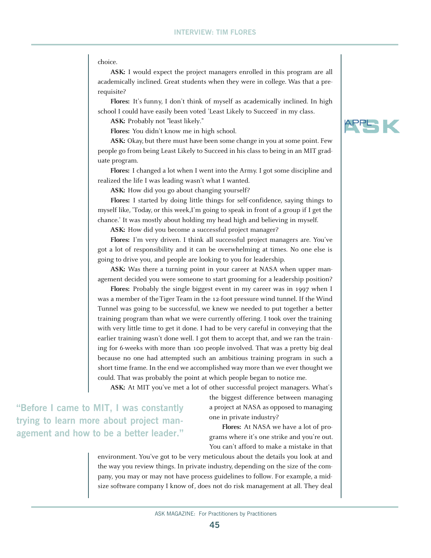#### choice.

**ASK:** I would expect the project managers enrolled in this program are all academically inclined. Great students when they were in college. Was that a prerequisite?

**Flores:** It's funny, I don't think of myself as academically inclined. In high school I could have easily been voted 'Least Likely to Succeed' in my class.

**ASK:** Probably not "least likely."

**Flores:** You didn't know me in high school.

**ASK:** Okay, but there must have been some change in you at some point. Few people go from being Least Likely to Succeed in his class to being in an MIT graduate program.

**Flores:** I changed a lot when I went into the Army. I got some discipline and realized the life I was leading wasn't what I wanted.

**ASK:** How did you go about changing yourself?

**Flores:** I started by doing little things for self-confidence, saying things to myself like, 'Today, or this week,I'm going to speak in front of a group if I get the chance.' It was mostly about holding my head high and believing in myself.

**ASK:** How did you become a successful project manager?

**Flores:** I'm very driven. I think all successful project managers are. You've got a lot of responsibility and it can be overwhelming at times. No one else is going to drive you, and people are looking to you for leadership.

**ASK:** Was there a turning point in your career at NASA when upper management decided you were someone to start grooming for a leadership position?

**Flores:** Probably the single biggest event in my career was in 1997 when I was a member of the Tiger Team in the 12-foot pressure wind tunnel. If the Wind Tunnel was going to be successful, we knew we needed to put together a better training program than what we were currently offering. I took over the training with very little time to get it done. I had to be very careful in conveying that the earlier training wasn't done well. I got them to accept that, and we ran the training for 6-weeks with more than 100 people involved. That was a pretty big deal because no one had attempted such an ambitious training program in such a short time frame. In the end we accomplished way more than we ever thought we could. That was probably the point at which people began to notice me.

**ASK:** At MIT you've met a lot of other successful project managers. What's

**"Before I came to MIT, I was constantly trying to learn more about project management and how to be a better leader."** 

the biggest difference between managing a project at NASA as opposed to managing one in private industry?

**Flores:** At NASA we have a lot of programs where it's one strike and you're out. You can't afford to make a mistake in that

environment. You've got to be very meticulous about the details you look at and the way you review things. In private industry, depending on the size of the company, you may or may not have process guidelines to follow. For example, a midsize software company I know of, does not do risk management at all. They deal

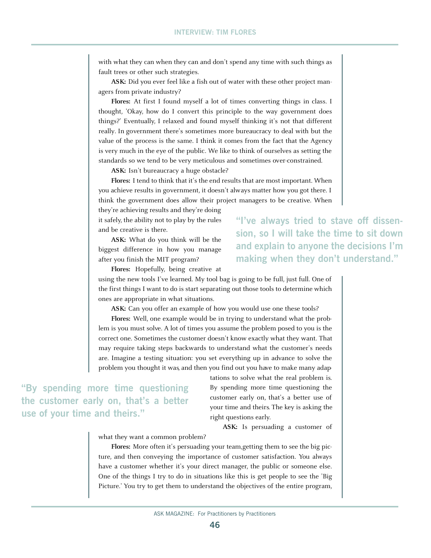with what they can when they can and don't spend any time with such things as fault trees or other such strategies.

**ASK:** Did you ever feel like a fish out of water with these other project managers from private industry?

**Flores:** At first I found myself a lot of times converting things in class. I thought, 'Okay, how do I convert this principle to the way government does things?' Eventually, I relaxed and found myself thinking it's not that different really. In government there's sometimes more bureaucracy to deal with but the value of the process is the same. I think it comes from the fact that the Agency is very much in the eye of the public. We like to think of ourselves as setting the standards so we tend to be very meticulous and sometimes over-constrained.

**ASK:** Isn't bureaucracy a huge obstacle?

**Flores:** I tend to think that it's the end results that are most important. When you achieve results in government, it doesn't always matter how you got there. I think the government does allow their project managers to be creative. When

they're achieving results and they're doing it safely, the ability not to play by the rules and be creative is there.

**ASK:** What do you think will be the biggest difference in how you manage after you finish the MIT program?

**Flores:** Hopefully, being creative at

using the new tools I've learned. My tool bag is going to be full, just full. One of the first things I want to do is start separating out those tools to determine which ones are appropriate in what situations.

ASK: Can you offer an example of how you would use one these tools?

**Flores:** Well, one example would be in trying to understand what the problem is you must solve. A lot of times you assume the problem posed to you is the correct one. Sometimes the customer doesn't know exactly what they want. That may require taking steps backwards to understand what the customer's needs are. Imagine a testing situation: you set everything up in advance to solve the problem you thought it was, and then you find out you have to make many adap-

**"By spending more time questioning the customer early on, that's a better use of your time and theirs."** 

tations to solve what the real problem is. By spending more time questioning the customer early on, that's a better use of your time and theirs. The key is asking the right questions early.

**ASK:** Is persuading a customer of

what they want a common problem?

**Flores:** More often it's persuading your team,getting them to see the big picture, and then conveying the importance of customer satisfaction. You always have a customer whether it's your direct manager, the public or someone else. One of the things I try to do in situations like this is get people to see the 'Big Picture.' You try to get them to understand the objectives of the entire program,

**"I've always tried to stave off dissension, so I will take the time to sit down and explain to anyone the decisions I'm making when they don't understand."**